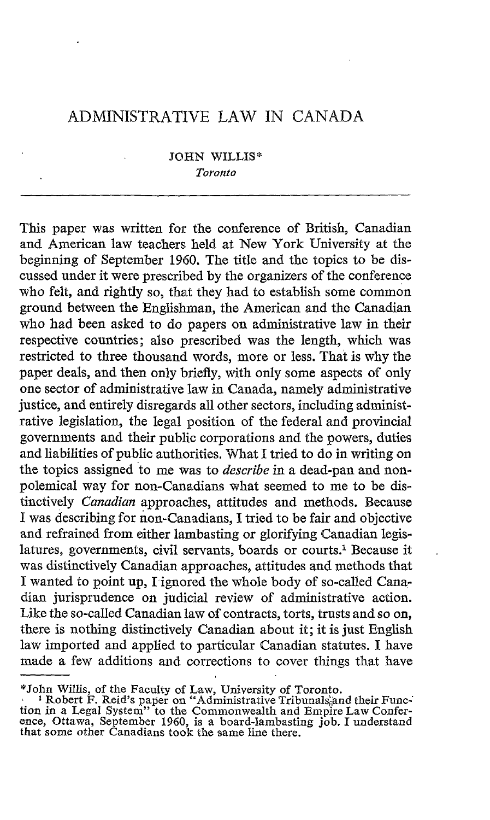# ADMINISTRATIVE LAW IN CANADA

#### JOHN WILLIS\* Toronto

This paper was written for the conference of British, Canadian and American law teachers held at New York University at the beginning of September 1960. The title and the topics to be discussed under it were prescribed by the organizers of the conference who felt, and rightly so, that they had to establish some common ground between the Englishman, the American and the Canadian who had been asked to do papers on administrative law in their respective countries; also prescribed was the length, which was restricted to three thousand words, more or less. That is why the paper deals, and then only briefly, with only some aspects of only one sector of administrative law in Canada, namely administrative justice, and entirely disregards all other sectors, including administrative legislation, the legal position of the federal and provincial governments and their public corporations and the powers, duties and liabilities of public authorities. What I tried to do in writing on the topics assigned to me was to describe in a dead-pan and nonpolemical way for non-Canadians what seemed to me to be distinctively Canadian approaches, attitudes and methods. Because I was describing for non-Canadians, I tried to be fair and objective and refrained from either lambasting or glorifying Canadian legislatures, governments, civil servants, boards or courts.<sup>1</sup> Because it was distinctively Canadian approaches, attitudes and methods that I wanted to point up, L ignored the whole body of so-called Canadian jurisprudence on judicial review of administrative action. Like the so-called Canadian law of contracts, torts, trusts and so on, there is nothing distinctively Canadian about it; it is just English law imported and applied to particular Canadian statutes. I have made a few additions and corrections to cover things that have

<sup>\*</sup>John Willis, of the Faculty of Law, University of Toronto.<br>
<sup>1</sup> Robert F. Reid's paper on "Administrative Tribunals' and their Func-<br>
tion in a Legal Surtanial of the Carlos tion in a Legal System" to the Commonwealth and Empire Law Confer-<br>ence, Ottawa, September 1960, is a board-lambasting job. I understand<br>that some other Canadians took the same line there.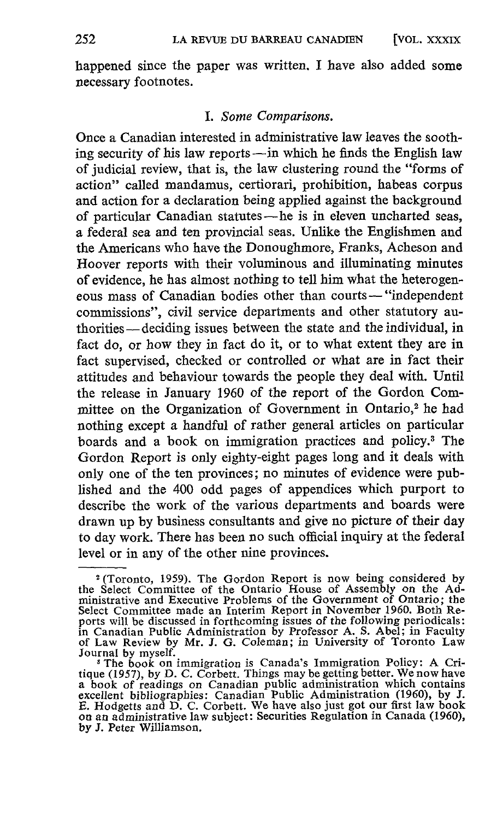happened since the paper was written. I have also added some necessary footnotes.

### I. Some Comparisons.

Once a Canadian interested in administrative law leaves the soothing security of his law reports-in which he finds the English law of judicial review, that is, the law clustering round the "forms of action" called mandamus, certiorari, prohibition, habeas corpus and action for a declaration being applied against the background of particular Canadian statutes-he is in eleven uncharted seas, a federal sea and ten provincial seas . Unlike the Englishmen and the Americans who have the Donoughmore, Franks, Acheson and Hoover reports with their voluminous and illuminating minutes of evidence, he has almost nothing to tell him what the heterogeneous mass of Canadian bodies other than courts-"independent commissions", civil service departments and other statutory authorities-deciding issues between the state and the individual, in fact do, or how they in fact do it, or to what extent they are in fact supervised, checked or controlled or what are in fact their attitudes and behaviour towards the people they deal with. Until the release in January 1960 of the report of the Gordon Committee on the Organization of Government in Ontario,<sup>2</sup> he had nothing except a handful of rather general articles on particular boards and a book on immigration practices and policy.<sup>3</sup> The Gordon Report is only eighty-eight pages long and it deals with only one of the ten provinces ; no minutes of evidence were published and the 400 odd pages of appendices which purport to describe the work of the various departments and boards were drawn up by business consultants and give no picture of their day to day work. There has been no such official inquiry at the federal level or in any of the other nine provinces.

<sup>&</sup>lt;sup>2</sup> (Toronto, 1959). The Gordon Report is now being considered by the Select Committee of the Ontario House of Assembly on the Administrative and Executive Problems of the Government of Ontario; the Select Committee made a ports will be discussed in forthcoming issues of the following periodicals:<br>in Canadian Public Administration by Professor A. S. Abel; in Faculty<br>of Law Review by Mr. J. G. Coleman; in University of Toronto Law<br>Iournal by

Journal by myself.<br>
<sup>8</sup> The book on immigration is Canada's Immigration Policy: A Cri-<br>
<sup>8</sup> The book of readings on Canadian public administration which contains<br>
a book of readings on Canadian public administration which by J. Peter Williamson.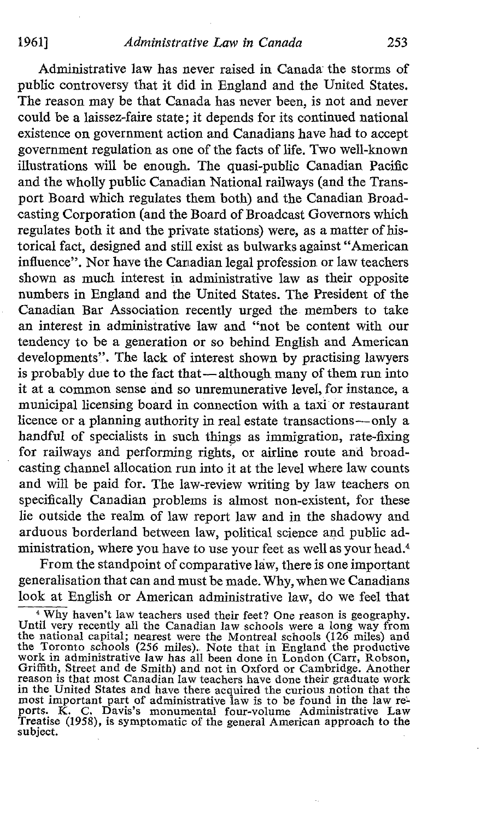Administrative law has never raised in Canada the storms of public controversy that it did in England and the United States. The reason may be that Canada has never been, is not and never could be a laissez-faire state ; it depends for its continued national existence on government action and Canadians have had to accept government regulation as ore of the facts of life . Two well-known illustrations will be enough. The quasi-public Canadian Pacific and the wholly public Canadian National railways (and the Transport Board which regulates them both) and the Canadian Broadcasting Corporation (and the Board of Broadcast Governors which regulates both it and the private stations) were, as a matter of historical fact, designed and still exist as bulwarks against "American influence". Nor have the Canadian legal profession or law teachers shown as much interest in administrative law as their opposite numbers in England and the United States. The President of the Canadian Bar Association recently urged the members to take an interest in administrative law and "not be content with our tendency to be a generation or so behind English and American developments". The lack of interest shown by practising lawyers is probably due to the fact that—although many of them run into it at <sup>a</sup> common sense and so unremunerative level, for instance, a municipal licensing board in connection with a taxi or restaurant licence or a planning authority in real estate transactions-only a handful of specialists in such things as immigration, rate-fixing for railways and performing rights, or airline route and broadcasting channel allocation run into it at the level where law counts and will be paid for. The law-review writing by law teachers on specifically Canadian problems is almost non-existent, for these lie outside the realm of law report law and in the shadowy and arduous borderland between law, political science and public administration, where you have to use your feet as well as your head.<sup>4</sup>

From the standpoint of comparative law, there is one important generalisation that can and must be made. Why, whenwe Canadians look at English or American administrative law, do we feel that

<sup>4</sup> Why haven't law teachers used their feet? One reason is geography.<br>Until very recently all the Canadian law schools were a long way from<br>the national capital; nearest were the Montreal schools (126 miles) and<br>the Toro in the United States and have there acquired the curious notion that the<br>most important part of administrative law is to be found in the law re-<br>ports. K. C. Davis's monumental four-volume Administrative Law<br>Treatise (1958 subject.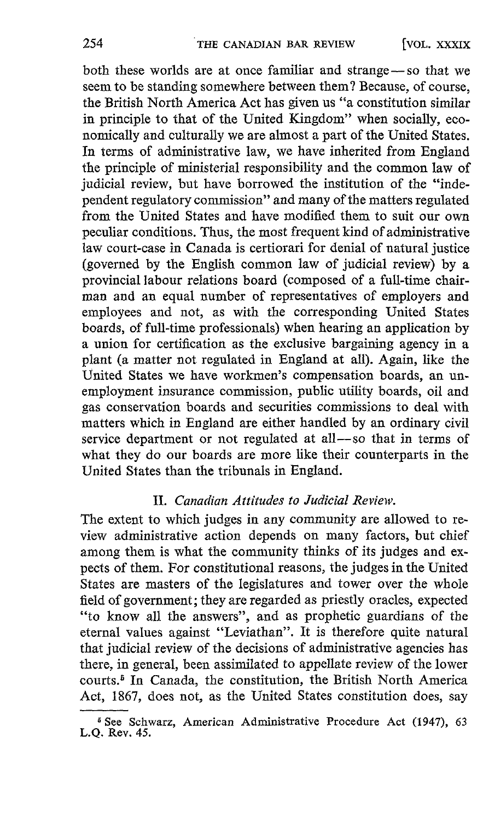both these worlds are at once familiar and strange-so that we seem to be standing somewhere between them? Because, of course, the British North America Act has given us "a constitution similar in principle to that of the United Kingdom" when socially, economically and culturally we are almost a part of the United States. In terms of administrative law, we have inherited from England the principle of ministerial responsibility and the common law of judicial review, but have borrowed the institution of the "independent regulatory commission" and many of the matters regulated from the United States and have modified them to suit our own peculiar conditions. Thus, the most frequent kind of administrative law court-case in Canada is certiorari for denial of natural justice (governed by the English common law of judicial review) by a provincial labour relations board (composed of a full-time chairman and an equal number of representatives of employers and employees and not, as with the corresponding United States boards, of full-time professionals) when hearing an application by a union for certification as the exclusive bargaining agency in a plant (a matter not regulated in England at all) . Again, like the United States we have workmen's compensation boards, an unemployment insurance commission, public utility boards, oil and gas conservation boards and securities commissions to deal with matters which in England are either handled by an ordinary civil service department or not regulated at all-so that in terms of what they do our boards are more like their counterparts in the United States than the tribunals in England.

# II . Canadian Attitudes to Judicial Review.

The extent to which judges in any community are allowed to review administrative action depends on many factors, but chief among them is what the community thinks of its judges and expects of them. For constitutional reasons, the judges in the United States are masters of the legislatures and tower over the whole field of government ; they are regarded as priestly oracles, expected "to know all the answers", and as prophetic guardians of the eternal values against "Leviathan". It is therefore quite natural that judicial review of the decisions of administrative agencies has there, in general, been assimilated to appellate review of the lower courts.<sup>5</sup> In Canada, the constitution, the British North America Act, 1867, does not, as the United States constitution does, say

<sup>&</sup>lt;sup>5</sup> See Schwarz, American Administrative Procedure Act (1947), 63 L.Q. Rev. 45.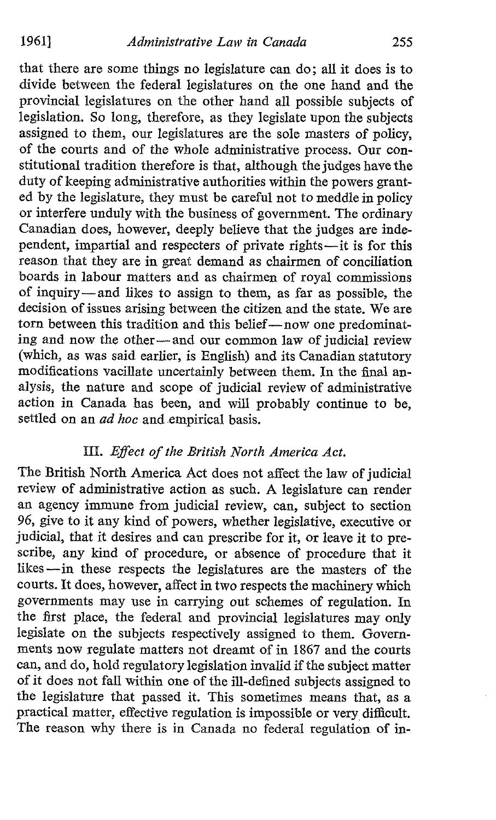that there are some things no legislature can do; all it does is to divide between the federal legislatures on the one hand and the provincial legislatures on the other hand all possible subjects of legislation. So long, therefore, as they legislate upon the subjects assigned to them, our legislatures are the sole masters of policy, of the courts and of the whole administrative process. Our constitutional tradition therefore is that, although the judges have the duty of keeping administrative authorities within the powers granted by the legislature, they must be careful not to meddle in policy or interfere unduly with the business of government. The ordinary Canadian does, however, deeply believe that the judges are independent, impartial and respecters of private rights-it is for this reason that they are in great demand as chairmen of conciliation boards in labour matters and as chairmen of royal commissions of inquiry-and likes to assign to them, as far as possible, the decision of issues arising between the citizen and the state. We are torn between this tradition and this belief-now one predominating and now the other-and our common law of judicial review (which, as was said earlier, is English) and its Canadian statutory modifications vacillate uncertainly between them. In the final analysis, the nature and scope of judicial review of administrative action in Canada has been, and will probably continue to be, settled on an  $ad$  hoc and empirical basis.

## III. Effect of the British North America Act.

The British North America Act does not affect the law of judicial review of administrative action as such. A legislature can render an agency immune from judicial review, can, subject to section 96, give to it any kind of powers, whether legislative, executive or judicial, that it desires and can prescribe for it, or leave it to prescribe, any kind of procedure, or absence of procedure that it likes -- in these respects the legislatures are the masters of the courts . It does, however, affect in two respects the machinery which governments may use in carrying out schemes of regulation. In the first place, the federal and provincial legislatures may only legislate on the subjects respectively assigned to them. Governments now regulate matters not dreamt of in 1867 and the courts can, and do, hold regulatory legislation invalid if the subject matter of it does not fall within one of the ill-defined subjects assigned to the legislature that passed it . This sometimes means that, as a practical matter, effective regulation is impossible or very, difficult. The reason why there is in Canada no federal regulation of in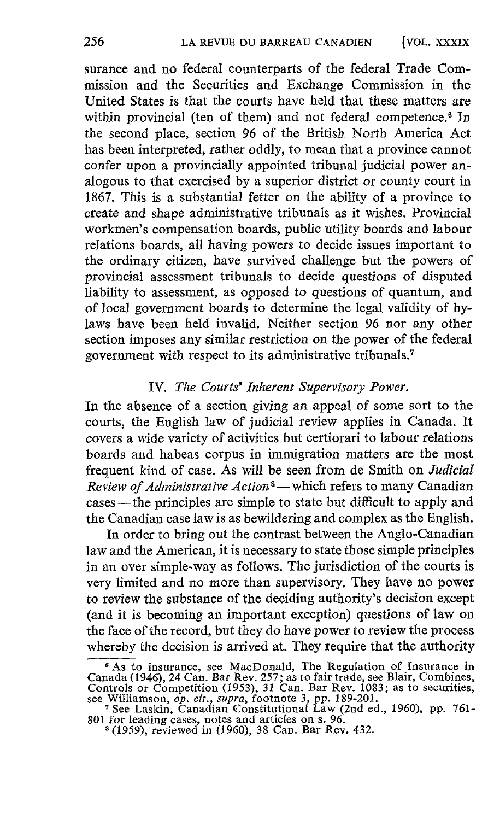surance and no federal counterparts of the federal Trade Commission and the Securities and Exchange Commission in the United States is that the courts have held that these matters are within provincial (ten of them) and not federal competence.<sup>6</sup> In the second place, section 96 of the British North America Act has been interpreted, rather oddly, to mean that a province cannot confer upon a provincially appointed tribunal judicial power analogous to that exercised by a superior district or county court in 1867. This is a substantial fetter on the ability of a province to create and shape administrative tribunals as it wishes . Provincial workmen's compensation boards, public utility boards and labour relations boards, all having powers to decide issues important to the ordinary citizen, have survived challenge but the powers of provincial assessment tribunals to decide questions of disputed liability to assessment, as opposed to questions of quantum, and of local government boards to determine the legal validity of bylaws have been held invalid. Neither section 96 nor any other section imposes any similar restriction on the power of the federal government with respect to its administrative tribunals.'

### IV. The Courts' Inherent Supervisory Power.

In the absence of a section giving an appeal of some sort to the courts, the English law of judicial review applies in Canada. It covers a wide variety of activities but certiorari to labour relations boards and habeas corpus in immigration matters are the most frequent kind of case. As will be seen from de Smith on Judicial Review of Administrative Action<sup>8</sup>—which refers to many Canadian cases — the principles are simple to state but difficult to apply and the Canadian case law is as bewildering and complex as the English.

In order to bring out the contrast between the Anglo-Canadian law and the American, it is necessary to state those simple principles in an over simple-way as follows. The jurisdiction of the courts is very limited and no more than supervisory. They have no power to review the substance of the deciding authority's decision except (and it is becoming an important exception) questions of law on the face of the record, but they do have power to review the process whereby the decision is arrived at. They require that the authority

<sup>6</sup> As to insurance, see MacDonald, The Regulation of Insurance in Canada (1946), 24 Can. Bar Rev. 257 ; as to fair trade, see Blair, Combines, Controls or Competition (1953), 31 Can. Bar Rev. 1083; as to securities,

see Williamson, *op. cit., supra*, footnote 3, pp. 189-201.<br><sup>7</sup> See Laskin, Canadian Constitutional Law (2nd ed., 1960), pp. 761-801 for leading cases, notes and articles on s. 96.<br><sup>8</sup> (1959), reviewed in (1960), 38 Can. Bar Rev. 432.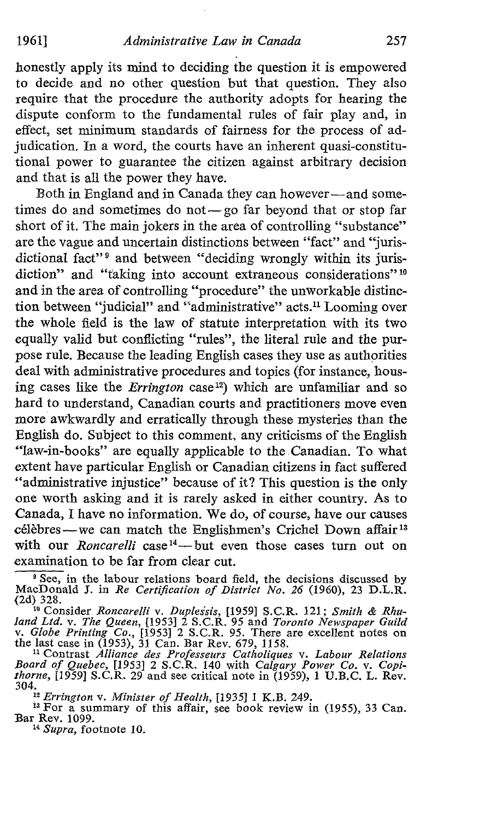honestly apply its mind to deciding the question it is empowered to decide and no other question but that question. They also require that the procedure the authority adopts for hearing the dispute conform to the fundamental rules of fair play and, in effect, set minimum standards of fairness for the process of adjudication. In a word, the courts have an inherent quasi-constitutional power to guarantee the citizen against arbitrary decision and that is all the power they have.

Both in England and in Canada they can however-and sometimes do and sometimes do not $-$ go far beyond that or stop far short of it. The main jokers in the area of controlling "substance" are the vague and uncertain distinctions between "fact" and "jurisdictional fact"<sup>9</sup> and between "deciding wrongly within its jurisdiction" and "taking into account extraneous considerations"<sup>10</sup> and in the area of controlling "procedure" the unworkable distinction between "judicial" and "administrative" acts.<sup>11</sup> Looming over the whole field is the law of statute interpretation with its two equally valid but conflicting "rules", the literal rule and the purpose rule. Because the leading English cases they use as authorities deal with administrative procedures and topics (for instance, housing cases like the Errington case<sup>12</sup>) which are unfamiliar and so hard to understand, Canadian courts and practitioners move even more awkwardly and erratically through these mysteries than the English do. Subject to this comment, any criticisms of the English "law-in-books" are equally applicable to the Canadian. To what extent have particular English or Canadian citizens in fact suffered "administrative injustice" because of it? This question is the only one worth asking and it is rarely asked in either country. As to Canada, <sup>I</sup> have no information. We do, of course, have our causes  $c6$ lèbres — we can match the Englishmen's Crichel Down affair<sup>13</sup> with our *Roncarelli* case<sup>14</sup> $-$ but even those cases turn out on examination to be far from clear cut.

<sup>9</sup> See, in the labour relations board field, the decisions discussed by<br>MacDonald J. in *Re Certification of District No. 26* (1960), 23 D.L.R.<br>(2d) 338 (2d) 328.

<sup>10</sup> Consider *Roncarelli v. Duplessis*, [1959] S.C.R. 121; *Smith & Rhuland Ltd. v. The Queen*, [1953] 2 S.C.R. 95 and *Toronto Newspaper Guild v. Globe Printing Co.*, [1953] 2 S.C.R. 95. There are excellent notes on the

<sup>11</sup> Contrast *Alliance des Professeurs Catholiques v. Labour Relations*<br>Board of Quebec, [1953] 2 S.C.R. 140 with Calgary Power Co. v. Copi-<br>thorne, [1959] S.C.R. 29 and see critical note in (1959), 1 U.B.C. L. Rev.<br><sup>204</sup> 304.

 $12$  Errington v. Minister of Health, [1935] 1 K.B. 249.

is For a summary of this affair, see book review in (1955), 33 Can. Bar Rev. 1099.

<sup>14</sup> Supra, footnote 10.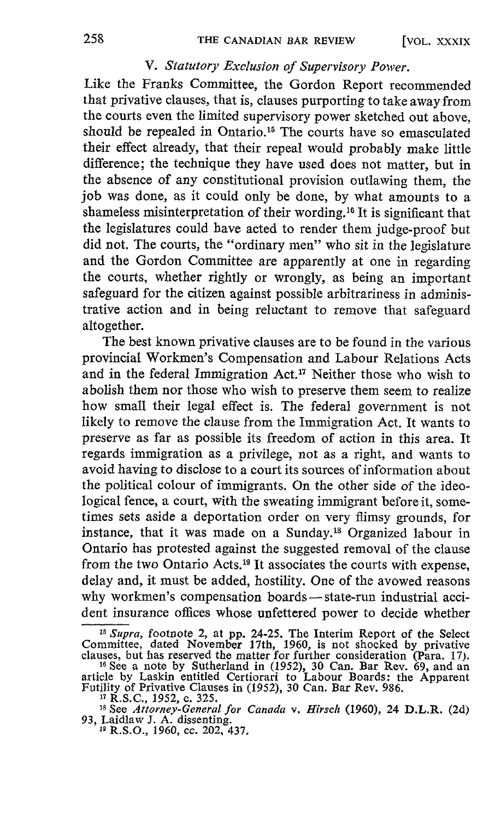#### V. Statutory Exclusion of Supervisory Power.

Like the Franks Committee, the Gordon Report recommended that privative clauses, that is, clauses purporting to take away from the courts even the limited supervisory power sketched out above, should be repealed in Ontario.<sup>15</sup> The courts have so emasculated their effect already, that their repeal would probably make little difference ; the technique they have used does not matter, but in the absence of any constitutional provision outlawing them, the job was done, as it could only be done, by what amounts to a shameless misinterpretation of their wording.<sup>16</sup> It is significant that the legislatures could have acted to render them judge-proof but did not. The courts, the "ordinary men" who sit in the legislature and the Gordon Committee are apparently at one in regarding the courts, whether rightly or wrongly, as being an important safeguard for the citizen against possible arbitrariness in administrative action and in being reluctant to remove that safeguard altogether.

The best known privative clauses are to be found in the various provincial Workmen's Compensation and Labour Relations Acts and in the federal Immigration Act.<sup>17</sup> Neither those who wish to abolish them nor those who wish to preserve them seem to realize how small their legal effect is. The federal government is not likely to remove the clause from the Immigration Act. It wants to preserve as far as possible its freedom of action in this area . It regards immigration as a privilege, not as a right, and wants to avoid having to disclose to a court its sources of information about the political colour of immigrants. On the other side of the ideological fence, a court, with the sweating immigrant before it, sometimes sets aside a deportation order on very flimsy grounds, for instance, that it was made on a Sunday.<sup>18</sup> Organized labour in Ontario has protested against the suggested removal of the clause from the two Ontario Acts.<sup>19</sup> It associates the courts with expense, delay and, it must be added, hostility. One of the avowed reasons why workmen's compensation boards-state-run industrial accident insurance offices whose unfettered power to decide whether

<sup>&</sup>lt;sup>15</sup> Supra, footnote 2, at pp. 24-25. The Interim Report of the Select Committee, dated November 17th, 1960, is not shocked by privative clauses, but has reserved the matter for further consideration (Para, 17).<br><sup>16</sup> See

article by Laskin entitled Certiorari to Labour Boards : the Apparent Futility of Privative Clauses in (1952), 30 Can. Bar Rev. 986. <sup>17</sup> R.S.C., 1952, c. 325.

<sup>&</sup>lt;sup>18</sup> See Attorney-General for Canada v. Hirsch (1960), 24 D.L.R. (2d)

<sup>93,</sup> Laidlaw J. A. dissenting.

<sup>19</sup> R.S .O., 1960, cc . 202, 437.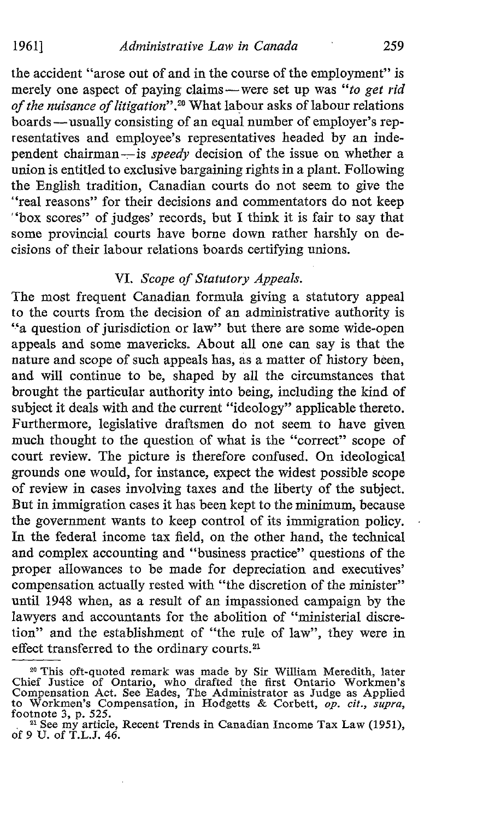the accident "arose out of and in the course of the employment" is merely one aspect of paying claims-were set up was "to get rid of the nuisance of litigation".<sup>20</sup> What labour asks of labour relations boards-usually consisting of an equal number of employer's representatives and employee's representatives headed by an independent chairman-is speedy decision of the issue on whether a union is entitled to exclusive bargaining rights in a plant. Following the English tradition, Canadian courts do not seem to give the "real reasons" for their decisions and commentators do not keep "box scores" of judges' records, but I think it is fair to say that some provincial courts have borne down rather harshly on decisions of their labour relations boards certifying unions .

# VI. Scope of Statutory Appeals.

The most frequent Canadian formula giving a statutory appeal to the courts from the decision of an administrative authority is "a question of jurisdiction or law" but there are some wide-open appeals and some mavericks.. About all one can say is that the nature and scope of such appeals has, as a matter of history been, and will continue to be, shaped by all the circumstances that brought the particular authority into being, including the kind of subject it deals with and the current "ideology" applicable thereto. Furthermore, legislative draftsmen do not seem to have given much thought to the question of what is the "correct" scope of court review. The picture is therefore confused. On ideological grounds one would, for instance, expect the widest possible scope of review in cases involving taxes and the liberty of the subject. But in immigration cases it has been kept to the minimum, because the government wants to keep control of its immigration policy. In the federal income tax field, on the other hand, the technical and complex accounting and "business practice" questions of the proper allowances to be made for depreciation and executives' compensation actually rested with "the discretion of the minister" until 1948 when, as a result of an impassioned campaign by the lawyers and accountants for the abolition of "ministerial discretion" and the establishment of "the rule of law", they were in effect transferred to the ordinary courts.<sup>21</sup>

<sup>&</sup>lt;sup>20</sup> This oft-quoted remark was made by Sir William Meredith, later<br>Chief Justice of Ontario, who drafted the first Ontario Workmen's<br>Compensation Act. See Eades, The Administrator as Judge as Applied<br>to Workmen's Compensa

<sup>21</sup> See my article, Recent Trends in Canadian Income Tax Law (1951), of <sup>9</sup> U. of T.L.J . 46.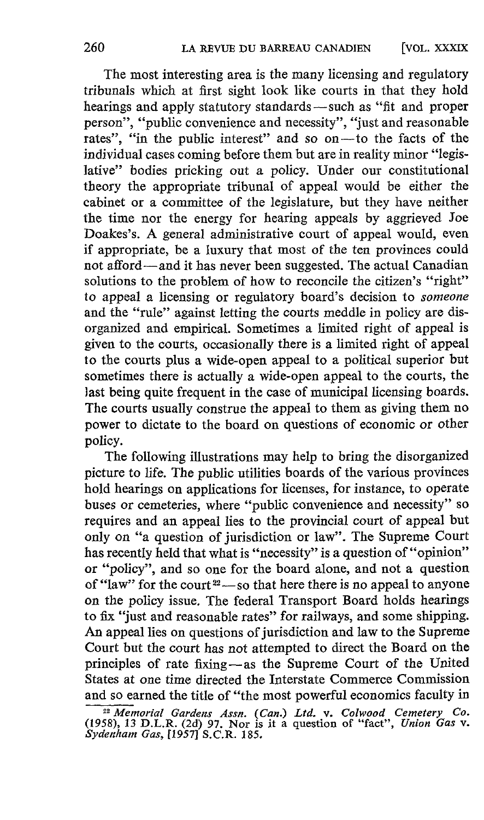The most interesting area is the many licensing and regulatory tribunals which at first sight look like courts in that they hold hearings and apply statutory standards—such as "fit and proper person", "public convenience and necessity", "just and reasonable rates", "in the public interest" and so on-to the facts of the individual cases coming before them but are in reality minor "legislative" bodies pricking out a policy. Under our constitutional theory the appropriate tribunal of appeal would be either the cabinet or a committee of the legislature, but they have neither the time nor the energy for hearing appeals by aggrieved Joe Doakes's. A general administrative court of appeal would, even if appropriate, be a luxury that most of the ten provinces could not afford-and it has never been suggested. The actual Canadian solutions to the problem of how to reconcile the citizen's "right" to appeal a licensing or regulatory board's decision to someone and the "rule" against letting the courts meddle in policy are disorganized and empirical. Sometimes a limited right of appeal is given to the courts, occasionally there is a limited right of appeal to the courts plus a wide-open appeal to a political superior but sometimes there is actually a wide-open appeal to the courts, the last being quite frequent in the case of municipal licensing boards. The courts usually construe the appeal to them as giving them no power to dictate to the board on questions of economic or other policy.

The following illustrations may help to bring the disorganized picture to life. The public utilities boards of the various provinces hold hearings on applications for licenses, for instance, to operate buses or cemeteries, where "public convenience and necessity" so requires and an appeal lies to the provincial court of appeal but only on "a question of jurisdiction or law". The Supreme Court has recently held that what is "necessity" is a question of "opinion" or "policy", and so one for the board alone, and not a question of "law" for the court<sup>22</sup> -- so that here there is no appeal to anyone on the policy issue. The federal Transport Board holds hearings to fix "just and reasonable rates" for railways, and some shipping. An appeal lies on questions of jurisdiction and law to the Supreme Court but the court has not attempted to direct the Board on the principles of rate fixing-as the Supreme Court of the United States at one time directed the Interstate Commerce Commission and so earned the title of "the most powerful economics faculty in

<sup>&</sup>lt;sup>22</sup> Memorial Gardens Assn. (Can.) Ltd. v. Colwood Cemetery Co.<br>(1958), 13 D.L.R. (2d) 97. Nor is it a question of "fact", Union Gas v.<br>Sydenham Gas, [1957] S.C.R. 185.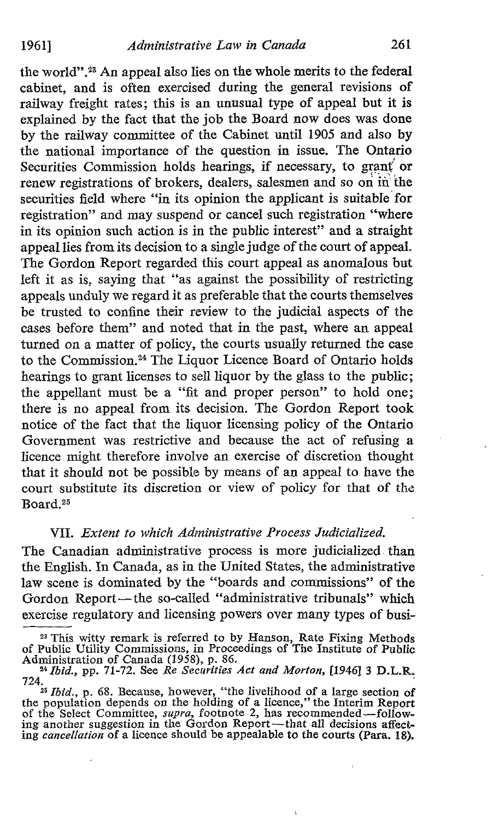the world".<sup>23</sup> An appeal also lies on the whole merits to the federal cabinet, and is often exercised during the general revisions of railway freight rates; this is an unusual type of appeal but it is explained by the fact that the job the Board now does was done by the railway committee of the Cabinet until 1905 and also by the national importance of the question in issue. The Ontario Securities Commission holds hearings, if necessary, to grant or renew registrations of brokers, dealers, salesmen and so on in the securities field where "in its opinion the applicant is suitable for registration" and may suspend or cancel such registration "where in its opinion such action is in the public interest" and a straight appeal lies from its decision to a single judge of the court of appeal. The Gordon Report regarded this court appeal as anomalous but left it as is, saying that "as against the possibility of restricting appeals unduly we regard it as preferable that the courts themselves be trusted to confine their review to the judicial aspects of the cases before them" and noted that in the past, where an appeal turned on a matter of policy, the courts usually returned the case to the Commission. <sup>24</sup> The Liquor Licence Board of Ontario holds hearings to grant licenses to sell liquor by the glass to the public; the appellant must be a "fit and proper person" to hold one; there is no appeal from its decision. The Gordon Report took notice of the fact that the liquor licensing policy of the Ontario Government was restrictive and because the act of refusing a licence might therefore involve an exercise of discretion thought that it should not be possible by means of an appeal to have the court substitute its discretion or view of policy for that of the Board. <sup>25</sup>

### VII. Extent to which Administrative Process Judicialized.

The Canadian administrative process is more judicialized than the English. In Canada, as in the United States, the administrative law scene is dominated by the "boards and commissions" of the Gordon Report-the so-called "administrative tribunals" which exercise regulatory and licensing powers over many types of busi-

<sup>28</sup> This witty remark is referred to by Hanson, Rate Fixing Methods of Public Utility Commissions, in Proceedings of The Institute of Public

Administration of Canada (1958), p. 86.<br><sup>24</sup> Ibid., pp. 71-72. See *Re Securities Act and Morton*, [1946] 3 D.L.R.

<sup>&</sup>lt;sup>25</sup> Ibid., p. 68. Because, however, "the livelihood of a large section of<br>the population depends on the holding of a licence," the Interim Report<br>the Interim Report of the Select Committee, *supra*, footnote 2, has recommended—follow-<br>ing another suggestion in the Gordon Report—that all decisions affect-<br>in a model that all decisions and the ing *cancellation* of a licence should be appealable to the courts (Para. 18).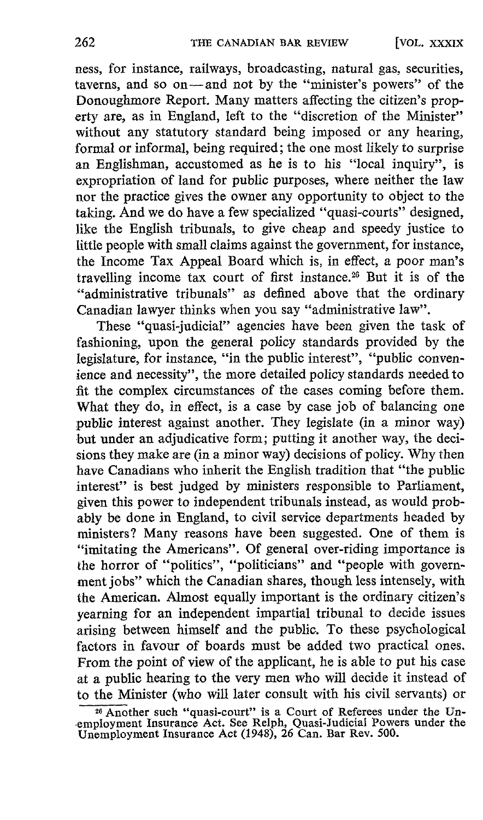ness, for instance, railways, broadcasting, natural gas, securities, taverns, and so on-and not by the "minister's powers" of the Donoughmore Report. Many matters affecting the citizen's property are, as in England, left to the "discretion of the Minister" without any statutory standard being imposed or any hearing, formal or informal, being required; the one most likely to surprise an Englishman, accustomed as he is to his "local inquiry", is expropriation of land for public purposes, where neither the law nor the practice gives the owner any opportunity to object to the taking. And we do have a few specialized "quasi-courts" designed, like the English tribunals, to give cheap and speedy justice to little people with small claims against the government, for instance, the Income Tax Appeal Board which is, in effect, a poor man's travelling income tax court of first instance.<sup>26</sup> But it is of the "administrative tribunals" as defined above that the ordinary Canadian lawyer thinks when you say "administrative law".

These "quasi-judicial" agencies have been given the task of fashioning, upon the general policy standards provided by the legislature, for instance, "in the public interest", "public convenience and necessity", the more detailed policy standards needed to fit the complex circumstances of the cases coming before them. What they do, in effect, is a case by case job of balancing one public interest against another. They legislate (in a minor way) but under an adjudicative form; putting it another way, the decisions they make are (in a minor way) decisions of policy. Why then have Canadians who inherit the English tradition that "the public interest" is best judged by ministers responsible to Parliament, given this power to independent tribunals instead, as would probably be done in England, to civil service departments headed by ministers? Many reasons have been suggested. One of them is "imitating the Americans". Of general over-riding importance is the horror of "politics", "politicians" and "people with government jobs" which the Canadian shares, though less intensely, with the American. Almost equally important is the ordinary citizen's yearning for an independent impartial tribunal to decide issues arising between himself and the public. To these psychological factors in favour of boards must be added two practical ones. From the point of view of the applicant, he is able to put his case at a public hearing to the very men who will decide it instead of to the Minister (who will later consult with his civil servants) or

<sup>26</sup> Another such "quasi-court" is a Court of Referees under the Unemployment Insurance Act. See Relph, Quasi-Judicial Powers under the Unemployment Insurance Act (1948), 26 Can. Bar Rev. 500.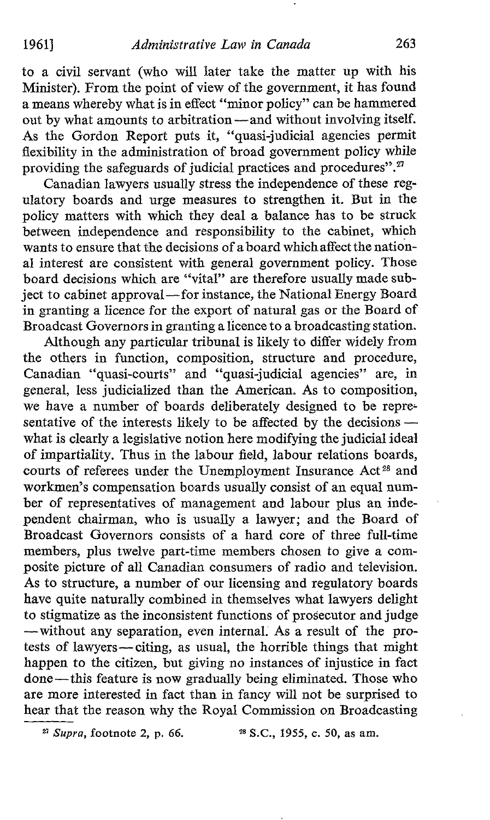to a civil servant (who will later take the matter up with his Minister) . From the point of view of the government, it has found a means whereby what is in effect "minor policy" can be hammered out by what amounts to arbitration-and without involving itself. As the Gordon Report puts it, "quasi-judicial agencies permit flexibility in the administration of broad government policy while providing the safeguards of judicial practices and procedures". $\mathbb{Z}^2$ 

Canadian lawyers usually stress the independence of these regulatory boards and urge measures to strengthen it . But in the policy matters with which they deal a balance has to be struck between independence and responsibility to the cabinet, which wants to ensure that the decisions of a board which affect the national interest are consistent with general government policy. Those board decisions which are "vital" are therefore usually made subject to cabinet approval—for instance, the National Energy Board in granting a licence for the export of natural gas or the Board of Broadcast Governors in granting a licence to a broadcasting station.

Although any particular tribunal is likely to differ widely from the others in function, composition, structure and procedure, Canadian "quasi-courts" and "quasi-judicial agencies" are, in general, less judicialized than the American. As to composition, we have a number of boards deliberately designed to be repre= sentative of the interests likely to be affected by the decisions  $$ what is clearly a legislative notion here modifying the judicial ideal of impartiality. Thus in the labour field, labour relations boards, courts of referees under the Unemployment Insurance Act<sup>28</sup> and workmen's compensation boards usually consist of an equal number of representatives of management and labour plus an independent chairman, who is usually a lawyer; and the Board of Broadcast Governors consists of a hard core of three full-time members, plus twelve part-time members chosen to give a composite picture of all Canadian consumers of radio and television. As to structure, a number of our licensing and regulatory boards have quite naturally combined in themselves what lawyers delight to stigmatize as the inconsistent functions of prosecutor and judge -without any separation, even internal. As a result of the protests of lawyers—citing, as usual, the horrible things that might happen to the citizen, but giving no instances of injustice in fact done-this feature is now gradually being eliminated. Those who are more interested in fact than in fancy will not be surprised to hear that the reason why the Royal Commission on Broadcasting

<sup>&</sup>lt;sup>27</sup> Supra, footnote 2, p. 66. <sup>28</sup> S.C., 1955, c. 50, as am.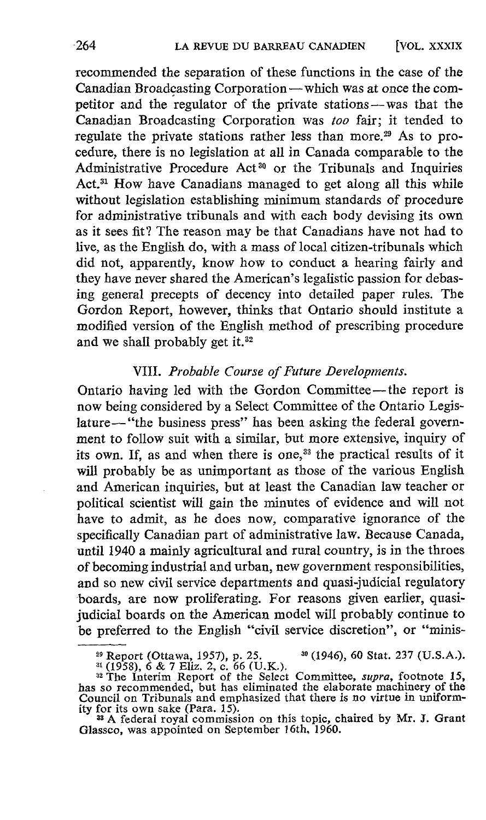recommended the separation of these functions in the case of the Canadian Broadcasting Corporation-which was at once the competitor and the regulator of the private stations--was that the Canadian Broadcasting Corporation was too fair; it tended to regulate the private stations rather less than more.<sup>29</sup> As to procedure, there is no legislation at all in Canada comparable to the Administrative Procedure Act<sup>30</sup> or the Tribunals and Inquiries Act.<sup>31</sup> How have Canadians managed to get along all this while without legislation establishing minimum standards of procedure for administrative tribunals and with each body devising its own as it sees fit? The reason may be that Canadians have not had to live, as the English do, with a mass of local citizen-tribunals which did not, apparently, know how to conduct a hearing fairly and they have never shared the American's legalistic passion for debasing general precepts of decency into detailed paper rules. The Gordon Report, however, thinks that Ontario should institute a modified version of the English method of prescribing procedure and we shall probably get it.<sup>32</sup>

#### VIII. Probable Course of Future Developments.

Ontario having led with the Gordon Committee-the report is now being considered by a Select Committee of the Ontario Legislature--"the business press" has been asking the federal government to follow suit with a similar, but more extensive, inquiry of its own. If, as and when there is one,<sup>33</sup> the practical results of it will probably be as unimportant as those of the various English and American inquiries, but at least the Canadian law teacher or political scientist will gain the minutes of evidence and will not have to admit, as he does now, comparative ignorance of the specifically Canadian part of administrative law. Because Canada, until 1940 a mainly agricultural and rural country, is in the throes of becoming industrial and urban, new government responsibilities, and so new civil service departments and quasi-judicial regulatory boards, are now proliferating. For reasons given earlier, quasijudicial boards on the American model will probably continue to be preferred to the English "civil service discretion", or "minis-

<sup>&</sup>lt;sup>29</sup> Report (Ottawa, 1957), p. 25.<br>
<sup>31</sup> (1946), 60 Stat. 237 (U.S.A.).<br>
<sup>31</sup> (1958), 6 & 7 Eliz. 2, c. 66 (U.K.).<br>
<sup>32</sup> The Interim Report of the Select Committee, *supra*, footnote 15,<br>
has so recommended, but has elimi

ity for its own sake (Para. 15) . <sup>33</sup> A federal royal commission on this topic, chaired by Mr. J. Grant Glassco, was appointed on September 16th, 1960.